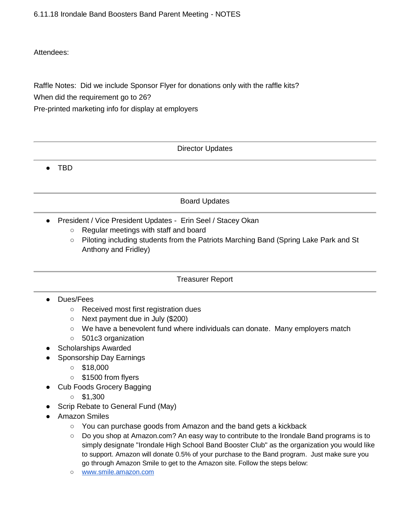6.11.18 Irondale Band Boosters Band Parent Meeting - NOTES

#### Attendees:

Raffle Notes: Did we include Sponsor Flyer for donations only with the raffle kits?

When did the requirement go to 26?

Pre-printed marketing info for display at employers

Director Updates

● TBD

## Board Updates

- President / Vice President Updates Erin Seel / Stacey Okan
	- Regular meetings with staff and board
	- Piloting including students from the Patriots Marching Band (Spring Lake Park and St Anthony and Fridley)

#### Treasurer Report

## ● Dues/Fees

- Received most first registration dues
- Next payment due in July (\$200)
- We have a benevolent fund where individuals can donate. Many employers match
- 501c3 organization
- Scholarships Awarded
- Sponsorship Day Earnings
	- $\circ$  \$18,000
	- \$1500 from flyers
- Cub Foods Grocery Bagging
	- $\circ$  \$1,300
- Scrip Rebate to General Fund (May)
- Amazon Smiles
	- You can purchase goods from Amazon and the band gets a kickback
	- Do you shop at Amazon.com? An easy way to contribute to the Irondale Band programs is to simply designate "Irondale High School Band Booster Club" as the organization you would like to support. Amazon will donate 0.5% of your purchase to the Band program. Just make sure you go through Amazon Smile to get to the Amazon site. Follow the steps below:
	- [www.smile.amazon.com](http://www.smile.amazon.com/)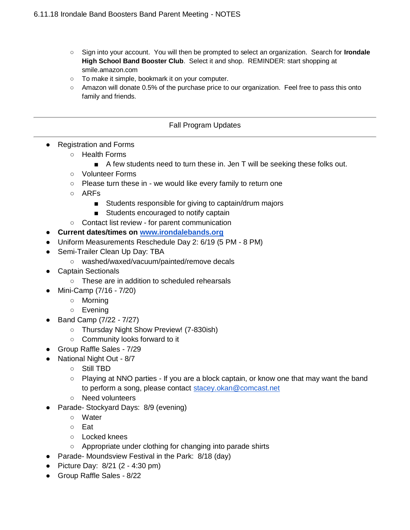- Sign into your account. You will then be prompted to select an organization. Search for **Irondale High School Band Booster Club**. Select it and shop. REMINDER: start shopping a[t](http://smile.amazon.com/) [smi](http://smile.amazon.com/)le.amazon.com
- To make it simple, bookmark it on your computer.
- Amazon will donate 0.5% of the purchase price to our organization. Feel free to pass this onto family and friends.

#### Fall Program Updates

- Registration and Forms
	- Health Forms
		- A few students need to turn these in. Jen T will be seeking these folks out.
	- Volunteer Forms
	- Please turn these in we would like every family to return one
	- ARFs
		- Students responsible for giving to captain/drum majors
		- Students encouraged to notify captain
	- Contact list review for parent communication
- **Current dates/times on [www.irondalebands.org](http://www.irondalebands.org/)**
- Uniform Measurements Reschedule Day 2: 6/19 (5 PM 8 PM)
- Semi-Trailer Clean Up Day: TBA
	- washed/waxed/vacuum/painted/remove decals
- **Captain Sectionals** 
	- These are in addition to scheduled rehearsals
- Mini-Camp (7/16 7/20)
	- Morning
	- Evening
- Band Camp (7/22 7/27)
	- Thursday Night Show Preview! (7-830ish)
	- Community looks forward to it
- Group Raffle Sales 7/29
- National Night Out 8/7
	- Still TBD
	- Playing at NNO parties If you are a block captain, or know one that may want the band to perform a song, please contact [stacey.okan@comcast.net](mailto:stacey.okan@comcast.net)
	- Need volunteers
- Parade- Stockyard Days: 8/9 (evening)
	- Water
	- Eat
	- Locked knees
	- Appropriate under clothing for changing into parade shirts
- Parade- Moundsview Festival in the Park: 8/18 (day)
- Picture Day: 8/21 (2 4:30 pm)
- Group Raffle Sales 8/22